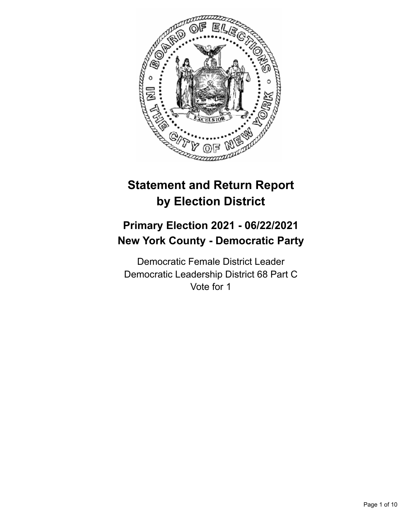

# **Statement and Return Report by Election District**

## **Primary Election 2021 - 06/22/2021 New York County - Democratic Party**

Democratic Female District Leader Democratic Leadership District 68 Part C Vote for 1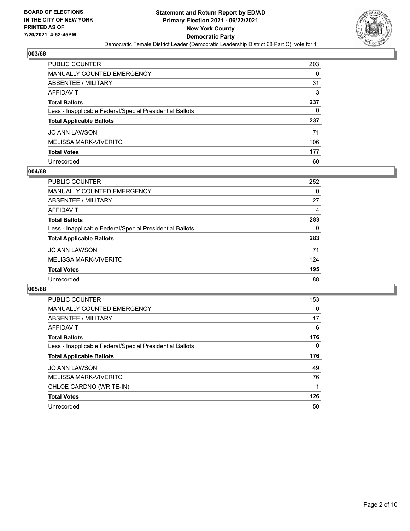

| PUBLIC COUNTER                                           | 203 |
|----------------------------------------------------------|-----|
| <b>MANUALLY COUNTED EMERGENCY</b>                        | 0   |
| <b>ABSENTEE / MILITARY</b>                               | 31  |
| <b>AFFIDAVIT</b>                                         | 3   |
| <b>Total Ballots</b>                                     | 237 |
| Less - Inapplicable Federal/Special Presidential Ballots | 0   |
| <b>Total Applicable Ballots</b>                          | 237 |
| <b>JO ANN LAWSON</b>                                     | 71  |
| <b>MELISSA MARK-VIVERITO</b>                             | 106 |
| <b>Total Votes</b>                                       | 177 |
| Unrecorded                                               | 60  |

#### **004/68**

| PUBLIC COUNTER                                           | 252 |
|----------------------------------------------------------|-----|
| <b>MANUALLY COUNTED EMERGENCY</b>                        | 0   |
| ABSENTEE / MILITARY                                      | 27  |
| AFFIDAVIT                                                | 4   |
| <b>Total Ballots</b>                                     | 283 |
| Less - Inapplicable Federal/Special Presidential Ballots | 0   |
| <b>Total Applicable Ballots</b>                          | 283 |
| <b>JO ANN LAWSON</b>                                     | 71  |
| MELISSA MARK-VIVERITO                                    | 124 |
| <b>Total Votes</b>                                       | 195 |
| Unrecorded                                               | 88  |

| <b>PUBLIC COUNTER</b>                                    | 153 |
|----------------------------------------------------------|-----|
| <b>MANUALLY COUNTED EMERGENCY</b>                        | 0   |
| ABSENTEE / MILITARY                                      | 17  |
| AFFIDAVIT                                                | 6   |
| <b>Total Ballots</b>                                     | 176 |
| Less - Inapplicable Federal/Special Presidential Ballots | 0   |
| <b>Total Applicable Ballots</b>                          | 176 |
| <b>JO ANN LAWSON</b>                                     | 49  |
| MELISSA MARK-VIVERITO                                    | 76  |
| CHLOE CARDNO (WRITE-IN)                                  |     |
| <b>Total Votes</b>                                       | 126 |
| Unrecorded                                               |     |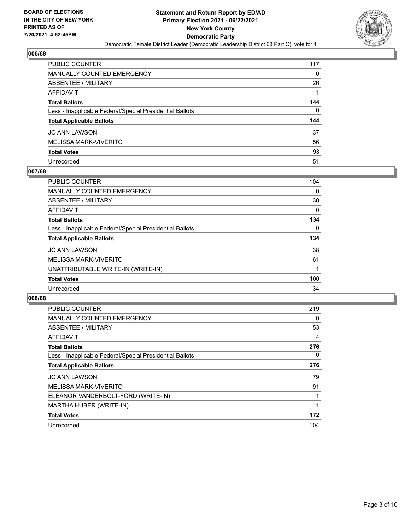

| <b>PUBLIC COUNTER</b>                                    | 117 |
|----------------------------------------------------------|-----|
| <b>MANUALLY COUNTED EMERGENCY</b>                        | 0   |
| ABSENTEE / MILITARY                                      | 26  |
| <b>AFFIDAVIT</b>                                         |     |
| <b>Total Ballots</b>                                     | 144 |
| Less - Inapplicable Federal/Special Presidential Ballots | 0   |
| <b>Total Applicable Ballots</b>                          | 144 |
| <b>JO ANN LAWSON</b>                                     | 37  |
| MELISSA MARK-VIVERITO                                    | 56  |
| <b>Total Votes</b>                                       | 93  |
| Unrecorded                                               | 51  |

#### **007/68**

| PUBLIC COUNTER                                           | 104      |
|----------------------------------------------------------|----------|
| <b>MANUALLY COUNTED EMERGENCY</b>                        | $\Omega$ |
| ABSENTEE / MILITARY                                      | 30       |
| AFFIDAVIT                                                | 0        |
| <b>Total Ballots</b>                                     | 134      |
| Less - Inapplicable Federal/Special Presidential Ballots | $\Omega$ |
| <b>Total Applicable Ballots</b>                          | 134      |
| <b>JO ANN LAWSON</b>                                     | 38       |
| MELISSA MARK-VIVERITO                                    | 61       |
| UNATTRIBUTABLE WRITE-IN (WRITE-IN)                       |          |
| <b>Total Votes</b>                                       | 100      |
| Unrecorded                                               | 34       |

| <b>PUBLIC COUNTER</b>                                    | 219 |
|----------------------------------------------------------|-----|
| <b>MANUALLY COUNTED EMERGENCY</b>                        | 0   |
| ABSENTEE / MILITARY                                      | 53  |
| AFFIDAVIT                                                | 4   |
| <b>Total Ballots</b>                                     | 276 |
| Less - Inapplicable Federal/Special Presidential Ballots | 0   |
| <b>Total Applicable Ballots</b>                          | 276 |
| <b>JO ANN LAWSON</b>                                     | 79  |
| <b>MELISSA MARK-VIVERITO</b>                             | 91  |
| ELEANOR VANDERBOLT-FORD (WRITE-IN)                       |     |
| MARTHA HUBER (WRITE-IN)                                  |     |
| <b>Total Votes</b>                                       | 172 |
| Unrecorded                                               | 104 |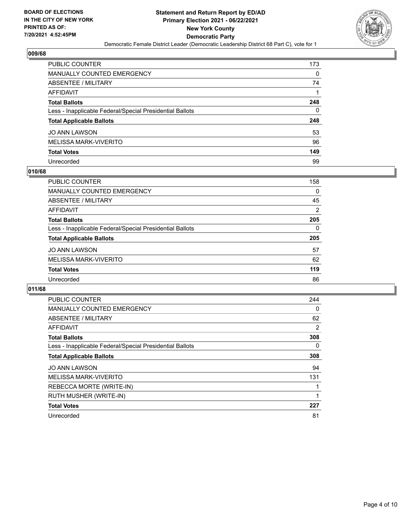

| PUBLIC COUNTER                                           | 173 |
|----------------------------------------------------------|-----|
| <b>MANUALLY COUNTED EMERGENCY</b>                        | 0   |
| ABSENTEE / MILITARY                                      | 74  |
| AFFIDAVIT                                                |     |
| <b>Total Ballots</b>                                     | 248 |
| Less - Inapplicable Federal/Special Presidential Ballots | 0   |
| <b>Total Applicable Ballots</b>                          | 248 |
| <b>JO ANN LAWSON</b>                                     | 53  |
| MELISSA MARK-VIVERITO                                    | 96  |
| <b>Total Votes</b>                                       | 149 |
| Unrecorded                                               | 99  |

#### **010/68**

| <b>PUBLIC COUNTER</b>                                    | 158 |
|----------------------------------------------------------|-----|
| MANUALLY COUNTED EMERGENCY                               | 0   |
| ABSENTEE / MILITARY                                      | 45  |
| AFFIDAVIT                                                | 2   |
| <b>Total Ballots</b>                                     | 205 |
| Less - Inapplicable Federal/Special Presidential Ballots | 0   |
| <b>Total Applicable Ballots</b>                          | 205 |
| <b>JO ANN LAWSON</b>                                     | 57  |
| MELISSA MARK-VIVERITO                                    | 62  |
| <b>Total Votes</b>                                       | 119 |
| Unrecorded                                               | 86  |

| <b>PUBLIC COUNTER</b>                                    | 244      |
|----------------------------------------------------------|----------|
| <b>MANUALLY COUNTED EMERGENCY</b>                        | $\Omega$ |
| ABSENTEE / MILITARY                                      | 62       |
| <b>AFFIDAVIT</b>                                         | 2        |
| <b>Total Ballots</b>                                     | 308      |
| Less - Inapplicable Federal/Special Presidential Ballots | 0        |
| <b>Total Applicable Ballots</b>                          | 308      |
| <b>JO ANN LAWSON</b>                                     | 94       |
| <b>MELISSA MARK-VIVERITO</b>                             | 131      |
| REBECCA MORTE (WRITE-IN)                                 |          |
| RUTH MUSHER (WRITE-IN)                                   |          |
| <b>Total Votes</b>                                       | 227      |
| Unrecorded                                               | 81       |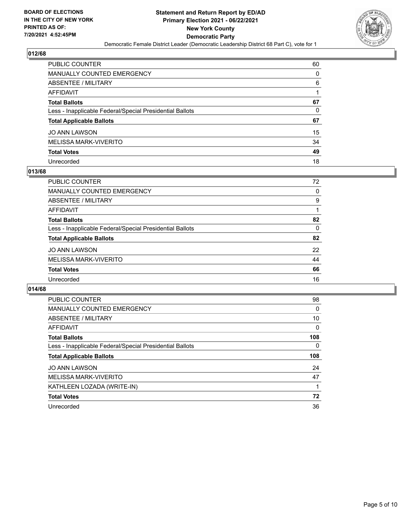

| PUBLIC COUNTER                                           | 60 |
|----------------------------------------------------------|----|
| <b>MANUALLY COUNTED EMERGENCY</b>                        | 0  |
| <b>ABSENTEE / MILITARY</b>                               | 6  |
| <b>AFFIDAVIT</b>                                         |    |
| <b>Total Ballots</b>                                     | 67 |
| Less - Inapplicable Federal/Special Presidential Ballots | 0  |
| <b>Total Applicable Ballots</b>                          | 67 |
| <b>JO ANN LAWSON</b>                                     | 15 |
| <b>MELISSA MARK-VIVERITO</b>                             | 34 |
| <b>Total Votes</b>                                       | 49 |
| Unrecorded                                               | 18 |

#### **013/68**

| <b>PUBLIC COUNTER</b>                                    | 72       |
|----------------------------------------------------------|----------|
| <b>MANUALLY COUNTED EMERGENCY</b>                        | $\Omega$ |
| ABSENTEE / MILITARY                                      | 9        |
| AFFIDAVIT                                                |          |
| <b>Total Ballots</b>                                     | 82       |
| Less - Inapplicable Federal/Special Presidential Ballots | $\Omega$ |
| <b>Total Applicable Ballots</b>                          | 82       |
| <b>JO ANN LAWSON</b>                                     | 22       |
| MELISSA MARK-VIVERITO                                    | 44       |
| <b>Total Votes</b>                                       | 66       |
| Unrecorded                                               | 16       |

| <b>PUBLIC COUNTER</b>                                    | 98       |
|----------------------------------------------------------|----------|
| MANUALLY COUNTED EMERGENCY                               | 0        |
| ABSENTEE / MILITARY                                      | 10       |
| <b>AFFIDAVIT</b>                                         | $\Omega$ |
| <b>Total Ballots</b>                                     | 108      |
| Less - Inapplicable Federal/Special Presidential Ballots | 0        |
|                                                          |          |
| <b>Total Applicable Ballots</b>                          | 108      |
| <b>JO ANN LAWSON</b>                                     | 24       |
| MELISSA MARK-VIVERITO                                    | 47       |
| KATHLEEN LOZADA (WRITE-IN)                               |          |
| <b>Total Votes</b>                                       | 72       |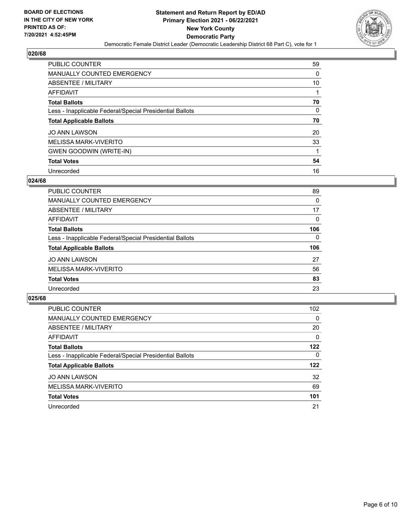

| <b>PUBLIC COUNTER</b>                                    | 59 |
|----------------------------------------------------------|----|
| <b>MANUALLY COUNTED EMERGENCY</b>                        | 0  |
| ABSENTEE / MILITARY                                      | 10 |
| AFFIDAVIT                                                |    |
| <b>Total Ballots</b>                                     | 70 |
| Less - Inapplicable Federal/Special Presidential Ballots | 0  |
| <b>Total Applicable Ballots</b>                          | 70 |
| <b>JO ANN LAWSON</b>                                     | 20 |
| MELISSA MARK-VIVERITO                                    | 33 |
| <b>GWEN GOODWIN (WRITE-IN)</b>                           |    |
| <b>Total Votes</b>                                       | 54 |
| Unrecorded                                               | 16 |

#### **024/68**

| PUBLIC COUNTER                                           | 89           |
|----------------------------------------------------------|--------------|
| <b>MANUALLY COUNTED EMERGENCY</b>                        | $\Omega$     |
| ABSENTEE / MILITARY                                      | 17           |
| AFFIDAVIT                                                | $\Omega$     |
| <b>Total Ballots</b>                                     | 106          |
| Less - Inapplicable Federal/Special Presidential Ballots | $\mathbf{0}$ |
| <b>Total Applicable Ballots</b>                          | 106          |
| <b>JO ANN LAWSON</b>                                     | 27           |
| MELISSA MARK-VIVERITO                                    | 56           |
| <b>Total Votes</b>                                       | 83           |
| Unrecorded                                               | 23           |

| <b>PUBLIC COUNTER</b>                                    | 102 <sub>1</sub> |
|----------------------------------------------------------|------------------|
| MANUALLY COUNTED EMERGENCY                               | $\Omega$         |
| ABSENTEE / MILITARY                                      | 20               |
| AFFIDAVIT                                                | 0                |
| <b>Total Ballots</b>                                     | 122              |
| Less - Inapplicable Federal/Special Presidential Ballots | $\Omega$         |
| <b>Total Applicable Ballots</b>                          | 122              |
| <b>JO ANN LAWSON</b>                                     | 32               |
| MELISSA MARK-VIVERITO                                    | 69               |
| <b>Total Votes</b>                                       | 101              |
| Unrecorded                                               | 21               |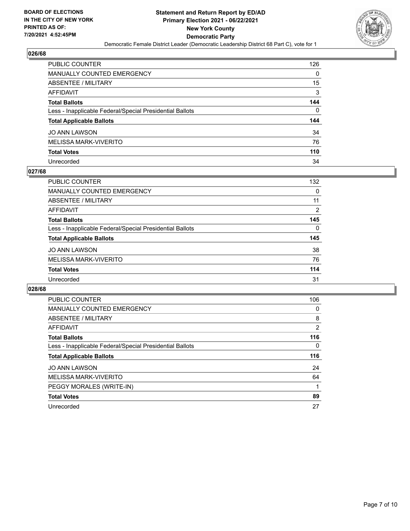

| <b>PUBLIC COUNTER</b>                                    | 126 |
|----------------------------------------------------------|-----|
| <b>MANUALLY COUNTED EMERGENCY</b>                        | 0   |
| ABSENTEE / MILITARY                                      | 15  |
| <b>AFFIDAVIT</b>                                         | 3   |
| <b>Total Ballots</b>                                     | 144 |
| Less - Inapplicable Federal/Special Presidential Ballots | 0   |
| <b>Total Applicable Ballots</b>                          | 144 |
| <b>JO ANN LAWSON</b>                                     | 34  |
| MELISSA MARK-VIVERITO                                    | 76  |
| <b>Total Votes</b>                                       | 110 |
| Unrecorded                                               | 34  |

#### **027/68**

| <b>PUBLIC COUNTER</b>                                    | 132 |
|----------------------------------------------------------|-----|
| MANUALLY COUNTED EMERGENCY                               | 0   |
| <b>ABSENTEE / MILITARY</b>                               | 11  |
| AFFIDAVIT                                                | 2   |
| <b>Total Ballots</b>                                     | 145 |
| Less - Inapplicable Federal/Special Presidential Ballots | 0   |
| <b>Total Applicable Ballots</b>                          | 145 |
| <b>JO ANN LAWSON</b>                                     | 38  |
| MELISSA MARK-VIVERITO                                    | 76  |
| <b>Total Votes</b>                                       | 114 |
| Unrecorded                                               | 31  |

| <b>PUBLIC COUNTER</b>                                    | 106 |
|----------------------------------------------------------|-----|
| <b>MANUALLY COUNTED EMERGENCY</b>                        | 0   |
| ABSENTEE / MILITARY                                      | 8   |
| AFFIDAVIT                                                | 2   |
| <b>Total Ballots</b>                                     | 116 |
| Less - Inapplicable Federal/Special Presidential Ballots | 0   |
|                                                          |     |
| <b>Total Applicable Ballots</b>                          | 116 |
| <b>JO ANN LAWSON</b>                                     | 24  |
| MELISSA MARK-VIVERITO                                    | 64  |
| PEGGY MORALES (WRITE-IN)                                 |     |
| <b>Total Votes</b>                                       | 89  |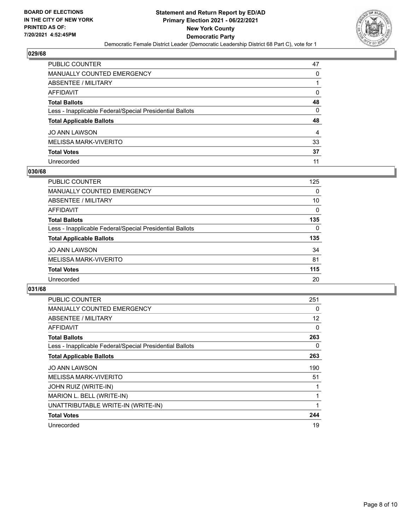

| PUBLIC COUNTER                                           | 47       |
|----------------------------------------------------------|----------|
| MANUALLY COUNTED EMERGENCY                               | 0        |
| ABSENTEE / MILITARY                                      |          |
| AFFIDAVIT                                                | 0        |
| <b>Total Ballots</b>                                     | 48       |
| Less - Inapplicable Federal/Special Presidential Ballots | $\Omega$ |
| <b>Total Applicable Ballots</b>                          | 48       |
| JO ANN LAWSON                                            | 4        |
| MELISSA MARK-VIVERITO                                    | 33       |
| <b>Total Votes</b>                                       | 37       |
| Unrecorded                                               | 11       |

#### **030/68**

| <b>PUBLIC COUNTER</b>                                    | 125      |
|----------------------------------------------------------|----------|
| <b>MANUALLY COUNTED EMERGENCY</b>                        | 0        |
| ABSENTEE / MILITARY                                      | 10       |
| AFFIDAVIT                                                | 0        |
| <b>Total Ballots</b>                                     | 135      |
| Less - Inapplicable Federal/Special Presidential Ballots | $\Omega$ |
| <b>Total Applicable Ballots</b>                          | 135      |
| <b>JO ANN LAWSON</b>                                     | 34       |
| MELISSA MARK-VIVERITO                                    | 81       |
| <b>Total Votes</b>                                       | 115      |
| Unrecorded                                               | 20       |

| <b>PUBLIC COUNTER</b>                                    | 251 |
|----------------------------------------------------------|-----|
| <b>MANUALLY COUNTED EMERGENCY</b>                        | 0   |
| ABSENTEE / MILITARY                                      | 12  |
| <b>AFFIDAVIT</b>                                         | 0   |
| <b>Total Ballots</b>                                     | 263 |
| Less - Inapplicable Federal/Special Presidential Ballots | 0   |
| <b>Total Applicable Ballots</b>                          | 263 |
| <b>JO ANN LAWSON</b>                                     | 190 |
| <b>MELISSA MARK-VIVERITO</b>                             | 51  |
| JOHN RUIZ (WRITE-IN)                                     |     |
| MARION L. BELL (WRITE-IN)                                |     |
| UNATTRIBUTABLE WRITE-IN (WRITE-IN)                       |     |
| <b>Total Votes</b>                                       | 244 |
| Unrecorded                                               | 19  |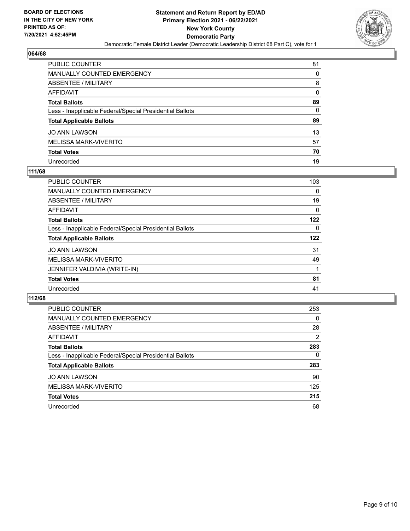

| PUBLIC COUNTER                                           | 81       |
|----------------------------------------------------------|----------|
| <b>MANUALLY COUNTED EMERGENCY</b>                        | 0        |
| <b>ABSENTEE / MILITARY</b>                               | 8        |
| AFFIDAVIT                                                | $\Omega$ |
| <b>Total Ballots</b>                                     | 89       |
| Less - Inapplicable Federal/Special Presidential Ballots | $\Omega$ |
| <b>Total Applicable Ballots</b>                          | 89       |
| JO ANN LAWSON                                            | 13       |
| <b>MELISSA MARK-VIVERITO</b>                             | 57       |
| <b>Total Votes</b>                                       | 70       |
| Unrecorded                                               | 19       |

#### **111/68**

| PUBLIC COUNTER                                           | 103      |
|----------------------------------------------------------|----------|
| MANUALLY COUNTED EMERGENCY                               | 0        |
| ABSENTEE / MILITARY                                      | 19       |
| <b>AFFIDAVIT</b>                                         | 0        |
| <b>Total Ballots</b>                                     | 122      |
| Less - Inapplicable Federal/Special Presidential Ballots | $\Omega$ |
| <b>Total Applicable Ballots</b>                          | 122      |
| <b>JO ANN LAWSON</b>                                     | 31       |
| MELISSA MARK-VIVERITO                                    | 49       |
| JENNIFER VALDIVIA (WRITE-IN)                             |          |
| <b>Total Votes</b>                                       | 81       |
| Unrecorded                                               | 41       |

| <b>PUBLIC COUNTER</b>                                    | 253      |
|----------------------------------------------------------|----------|
| MANUALLY COUNTED EMERGENCY                               | $\Omega$ |
| ABSENTEE / MILITARY                                      | 28       |
| AFFIDAVIT                                                | 2        |
| <b>Total Ballots</b>                                     | 283      |
| Less - Inapplicable Federal/Special Presidential Ballots | $\Omega$ |
| <b>Total Applicable Ballots</b>                          | 283      |
| <b>JO ANN LAWSON</b>                                     | 90       |
| MELISSA MARK-VIVERITO                                    | 125      |
| <b>Total Votes</b>                                       | 215      |
| Unrecorded                                               | 68       |